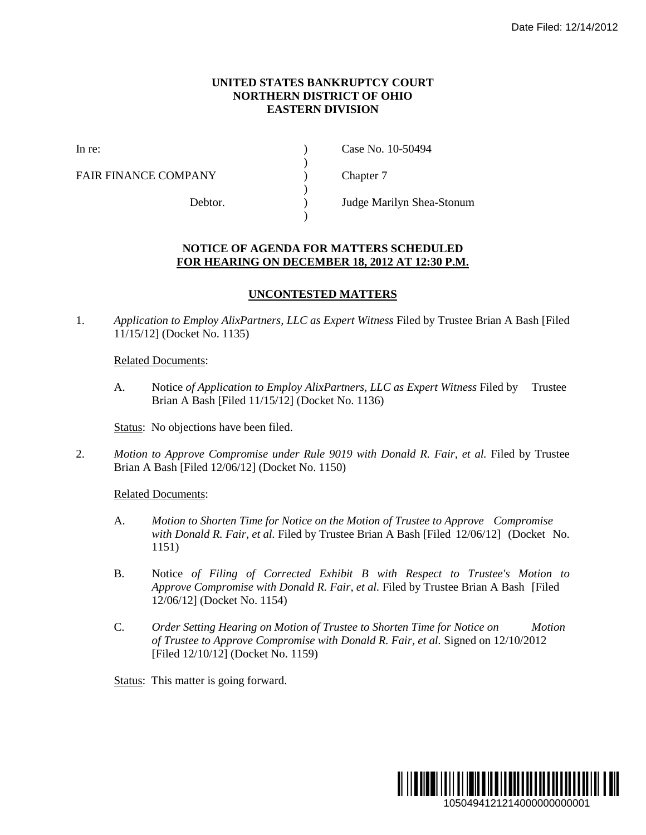## **UNITED STATES BANKRUPTCY COURT NORTHERN DISTRICT OF OHIO EASTERN DIVISION**

)

 $\lambda$ 

)

FAIR FINANCE COMPANY (and  $\Gamma$ ) Chapter 7

In re: (a) Case No. 10-50494

Debtor. ) Judge Marilyn Shea-Stonum

## **NOTICE OF AGENDA FOR MATTERS SCHEDULED FOR HEARING ON DECEMBER 18, 2012 AT 12:30 P.M.**

## **UNCONTESTED MATTERS**

1. *Application to Employ AlixPartners, LLC as Expert Witness* Filed by Trustee Brian A Bash [Filed 11/15/12] (Docket No. 1135)

Related Documents:

A. Notice *of Application to Employ AlixPartners, LLC as Expert Witness* Filed by Trustee Brian A Bash [Filed 11/15/12] (Docket No. 1136)

Status: No objections have been filed.

2. *Motion to Approve Compromise under Rule 9019 with Donald R. Fair, et al.* Filed by Trustee Brian A Bash [Filed 12/06/12] (Docket No. 1150)

Related Documents:

- A. *Motion to Shorten Time for Notice on the Motion of Trustee to Approve Compromise with Donald R. Fair, et al.* Filed by Trustee Brian A Bash [Filed 12/06/12] (Docket No. 1151)
- B. Notice *of Filing of Corrected Exhibit B with Respect to Trustee's Motion to Approve Compromise with Donald R. Fair, et al.* Filed by Trustee Brian A Bash [Filed 12/06/12] (Docket No. 1154)
- C. *Order Setting Hearing on Motion of Trustee to Shorten Time for Notice on Motion of Trustee to Approve Compromise with Donald R. Fair, et al.* Signed on 12/10/2012 [Filed 12/10/12] (Docket No. 1159)

Status: This matter is going forward.